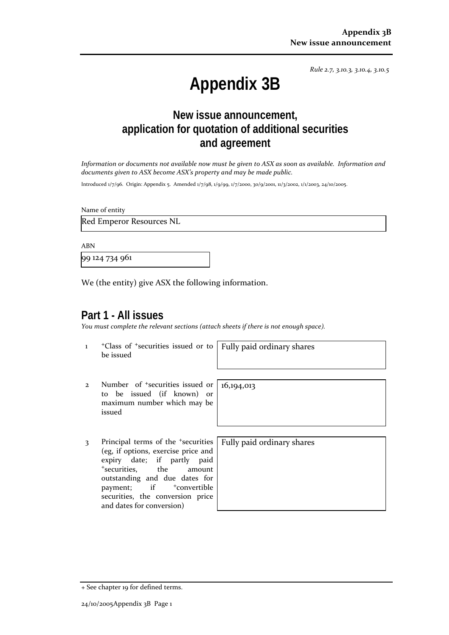*Rule 2.7, 3.10.3, 3.10.4, 3.10.5*

# **Appendix 3B**

## **New issue announcement, application for quotation of additional securities and agreement**

*Information or documents not available now must be given to ASX as soon as available. Information and documents given to ASX become ASX's property and may be made public.*

Introduced 1/7/96. Origin: Appendix 5. Amended 1/7/98, 1/9/99, 1/7/2000, 30/9/2001, 11/3/2002, 1/1/2003, 24/10/2005.

Name of entity

Red Emperor Resources NL

ABN

99 124 734 961

We (the entity) give ASX the following information.

## **Part 1 - All issues**

*You must complete the relevant sections (attach sheets if there is not enough space).*

1 +Class of +securities issued or to be issued

Fully paid ordinary shares

16,194,013

- 2 Number of +securities issued or to be issued (if known) or maximum number which may be issued
- 3 Principal terms of the <sup>+</sup>securities (eg, if options, exercise price and expiry date; if partly paid <sup>+</sup>securities, the amount outstanding and due dates for payment; if  $+$ convertible securities, the conversion price and dates for conversion)

Fully paid ordinary shares

<sup>+</sup> See chapter 19 for defined terms.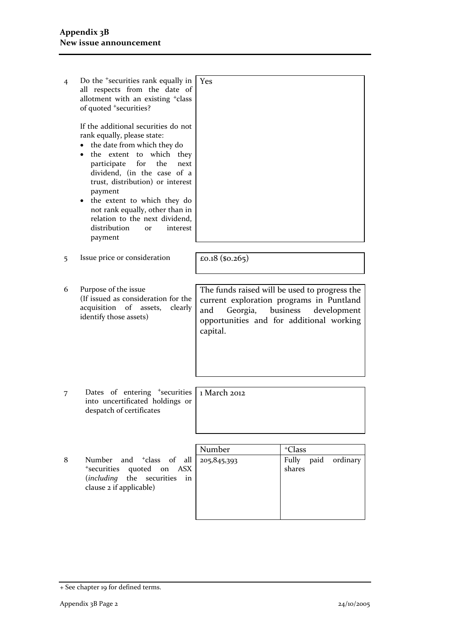| 4 | Do the <sup>+</sup> securities rank equally in<br>all respects from the date of<br>allotment with an existing <sup>+</sup> class<br>of quoted <sup>+</sup> securities?<br>If the additional securities do not<br>rank equally, please state:<br>the date from which they do<br>which they<br>the extent to<br>participate<br>for<br>the<br>next<br>dividend, (in the case of a<br>trust, distribution) or interest<br>payment<br>the extent to which they do<br>not rank equally, other than in<br>relation to the next dividend,<br>distribution<br>interest<br><b>or</b><br>payment | l Yes                                                                                                                                                                |                                     |
|---|---------------------------------------------------------------------------------------------------------------------------------------------------------------------------------------------------------------------------------------------------------------------------------------------------------------------------------------------------------------------------------------------------------------------------------------------------------------------------------------------------------------------------------------------------------------------------------------|----------------------------------------------------------------------------------------------------------------------------------------------------------------------|-------------------------------------|
| 5 | Issue price or consideration                                                                                                                                                                                                                                                                                                                                                                                                                                                                                                                                                          | £0.18 $(so.265)$                                                                                                                                                     |                                     |
| 6 | Purpose of the issue<br>(If issued as consideration for the<br>acquisition of assets,<br>clearly<br>identify those assets)                                                                                                                                                                                                                                                                                                                                                                                                                                                            | The funds raised will be used to progress the<br>current exploration programs in Puntland<br>Georgia,<br>and<br>opportunities and for additional working<br>capital. | business<br>development             |
| 7 | Dates of entering <sup>+</sup> securities<br>into uncertificated holdings or<br>despatch of certificates                                                                                                                                                                                                                                                                                                                                                                                                                                                                              | 1 March 2012                                                                                                                                                         |                                     |
|   |                                                                                                                                                                                                                                                                                                                                                                                                                                                                                                                                                                                       |                                                                                                                                                                      |                                     |
|   |                                                                                                                                                                                                                                                                                                                                                                                                                                                                                                                                                                                       | Number                                                                                                                                                               | <sup>+</sup> Class                  |
| 8 | and <sup>+</sup> class<br>of<br>Number<br>all<br>*securities quoted on<br>ASX                                                                                                                                                                                                                                                                                                                                                                                                                                                                                                         | 205, 845, 393                                                                                                                                                        | Fully<br>paid<br>ordinary<br>shares |

(*including* the securities in

clause 2 if applicable)

<sup>+</sup> See chapter 19 for defined terms.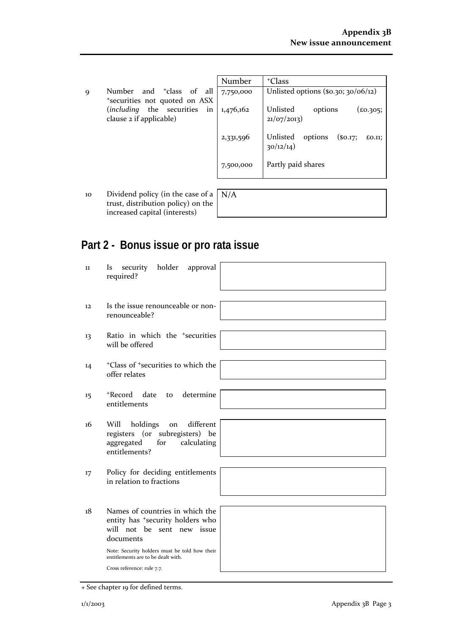9 Number and <sup>+</sup>class of all <sup>+</sup>securities not quoted on ASX (*including* the securities in clause 2 if applicable)

| Number    | <sup>+</sup> Class                                            |  |
|-----------|---------------------------------------------------------------|--|
| 7,750,000 | Unlisted options $(\$o.3o; 30/06/12)$                         |  |
| 1,476,162 | Unlisted<br>$(\text{\pounds}0.305;$<br>options<br>21/07/2013) |  |
| 2,331,596 | Unlisted<br>options $(so.17)$<br>£0.11;<br>30/12/14)          |  |
| 7,500,000 | Partly paid shares                                            |  |

10 Dividend policy (in the case of a trust, distribution policy) on the increased capital (interests)

| N/A |  |  |  |
|-----|--|--|--|
|     |  |  |  |
|     |  |  |  |

## **Part 2 - Bonus issue or pro rata issue**

| 11                | security holder<br>approval<br><i>Is</i><br>required?                                                                      |
|-------------------|----------------------------------------------------------------------------------------------------------------------------|
| $12 \overline{ }$ | Is the issue renounceable or non-<br>renounceable?                                                                         |
| 13                | Ratio in which the <sup>+</sup> securities<br>will be offered                                                              |
| 14                | <sup>+</sup> Class of <sup>+</sup> securities to which the<br>offer relates                                                |
| 15                | +Record<br>to determine<br>date<br>entitlements                                                                            |
| 16                | Will<br>holdings<br>different<br>on<br>registers (or subregisters) be<br>aggregated<br>for<br>calculating<br>entitlements? |
| 17                | Policy for deciding entitlements<br>in relation to fractions                                                               |
| 18                | Names of countries in which the<br>entity has *security holders who<br>will not be sent new issue<br>documents             |
|                   | Note: Security holders must be told how their<br>entitlements are to be dealt with.                                        |
|                   | Cross reference: rule 7.7.                                                                                                 |

<sup>+</sup> See chapter 19 for defined terms.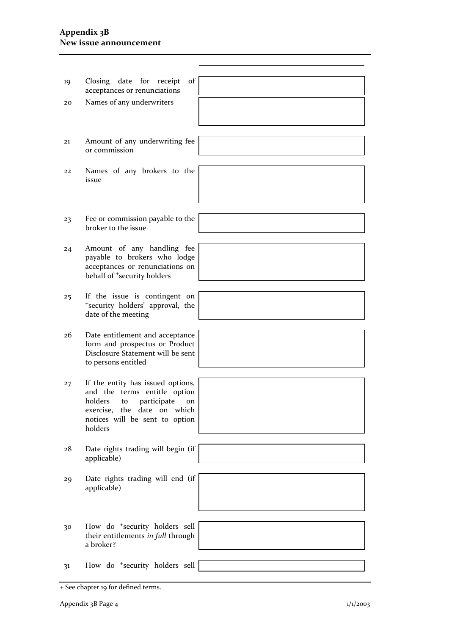### **Appendix 3B New issue announcement**

| 19 | of<br>Closing date for receipt<br>acceptances or renunciations                                                                                                                      |  |
|----|-------------------------------------------------------------------------------------------------------------------------------------------------------------------------------------|--|
| 20 | Names of any underwriters                                                                                                                                                           |  |
|    |                                                                                                                                                                                     |  |
| 21 | Amount of any underwriting fee<br>or commission                                                                                                                                     |  |
|    |                                                                                                                                                                                     |  |
| 22 | Names of any brokers to the<br>issue                                                                                                                                                |  |
|    |                                                                                                                                                                                     |  |
|    |                                                                                                                                                                                     |  |
| 23 | Fee or commission payable to the<br>broker to the issue                                                                                                                             |  |
|    |                                                                                                                                                                                     |  |
| 24 | Amount of any handling fee<br>payable to brokers who lodge<br>acceptances or renunciations on<br>behalf of <sup>+</sup> security holders                                            |  |
|    |                                                                                                                                                                                     |  |
| 25 | If the issue is contingent on<br>*security holders' approval, the<br>date of the meeting                                                                                            |  |
|    |                                                                                                                                                                                     |  |
| 26 | Date entitlement and acceptance<br>form and prospectus or Product<br>Disclosure Statement will be sent<br>to persons entitled                                                       |  |
|    |                                                                                                                                                                                     |  |
| 27 | If the entity has issued options,<br>and the terms entitle option<br>holders<br>participate<br>to<br>on<br>exercise, the date on which<br>notices will be sent to option<br>holders |  |
|    |                                                                                                                                                                                     |  |
| 28 | Date rights trading will begin (if<br>applicable)                                                                                                                                   |  |
|    |                                                                                                                                                                                     |  |
| 29 | Date rights trading will end (if<br>applicable)                                                                                                                                     |  |
|    |                                                                                                                                                                                     |  |
|    |                                                                                                                                                                                     |  |
| 30 | How do <sup>+</sup> security holders sell<br>their entitlements in full through<br>a broker?                                                                                        |  |
|    |                                                                                                                                                                                     |  |
| 31 | How do <sup>+</sup> security holders sell                                                                                                                                           |  |
|    |                                                                                                                                                                                     |  |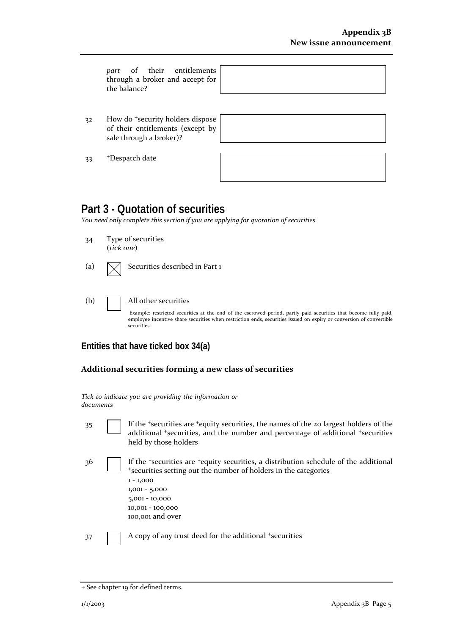|    | part of their entitlements<br>through a broker and accept for<br>the balance?                               |  |
|----|-------------------------------------------------------------------------------------------------------------|--|
|    |                                                                                                             |  |
| 32 | How do <sup>+</sup> security holders dispose<br>of their entitlements (except by<br>sale through a broker)? |  |
| 33 | <sup>+</sup> Despatch date                                                                                  |  |
|    |                                                                                                             |  |

## **Part 3 - Quotation of securities**

*You need only complete this section if you are applying for quotation of securities*

- 34 Type of securities (*tick one*)
- (a)  $\sqrt{\phantom{a}}$  Securities described in Part 1
- (b) All other securities

Example: restricted securities at the end of the escrowed period, partly paid securities that become fully paid, employee incentive share securities when restriction ends, securities issued on expiry or conversion of convertible securities

## **Entities that have ticked box 34(a)**

### **Additional securities forming a new class of securities**

*Tick to indicate you are providing the information or documents*

35 If the <sup>+</sup>securities are <sup>+</sup>equity securities, the names of the 20 largest holders of the additional <sup>+</sup>securities, and the number and percentage of additional <sup>+</sup>securities held by those holders

36 If the <sup>+</sup>securities are <sup>+</sup>equity securities, a distribution schedule of the additional <sup>+</sup>securities setting out the number of holders in the categories 1 - 1,000 1,001 - 5,000 5,001 - 10,000 10,001 - 100,000 100,001 and over

37 A copy of any trust deed for the additional +securities

<sup>+</sup> See chapter 19 for defined terms.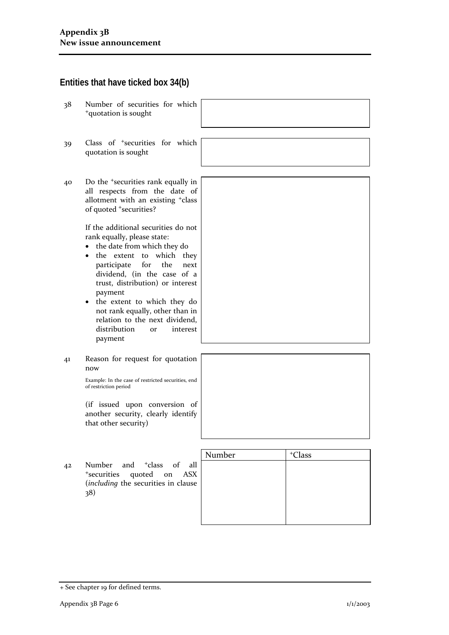## **Entities that have ticked box 34(b)**

- 38 Number of securities for which <sup>+</sup>quotation is sought
- 39 Class of <sup>+</sup>securities for which quotation is sought
- 40 Do the <sup>+</sup>securities rank equally in all respects from the date of allotment with an existing <sup>+</sup>class of quoted <sup>+</sup>securities?

If the additional securities do not rank equally, please state:

- the date from which they do
- the extent to which they participate for the next dividend, (in the case of a trust, distribution) or interest payment
- the extent to which they do not rank equally, other than in relation to the next dividend, distribution or interest payment
- 41 Reason for request for quotation now

Example: In the case of restricted securities, end of restriction period

(if issued upon conversion of another security, clearly identify that other security)

42 Number and <sup>+</sup>class of all <sup>+</sup>securities quoted on ASX (*including* the securities in clause 38)

| Number | <sup>+</sup> Class |
|--------|--------------------|
|        |                    |
|        |                    |
|        |                    |
|        |                    |
|        |                    |
|        |                    |

<sup>+</sup> See chapter 19 for defined terms.